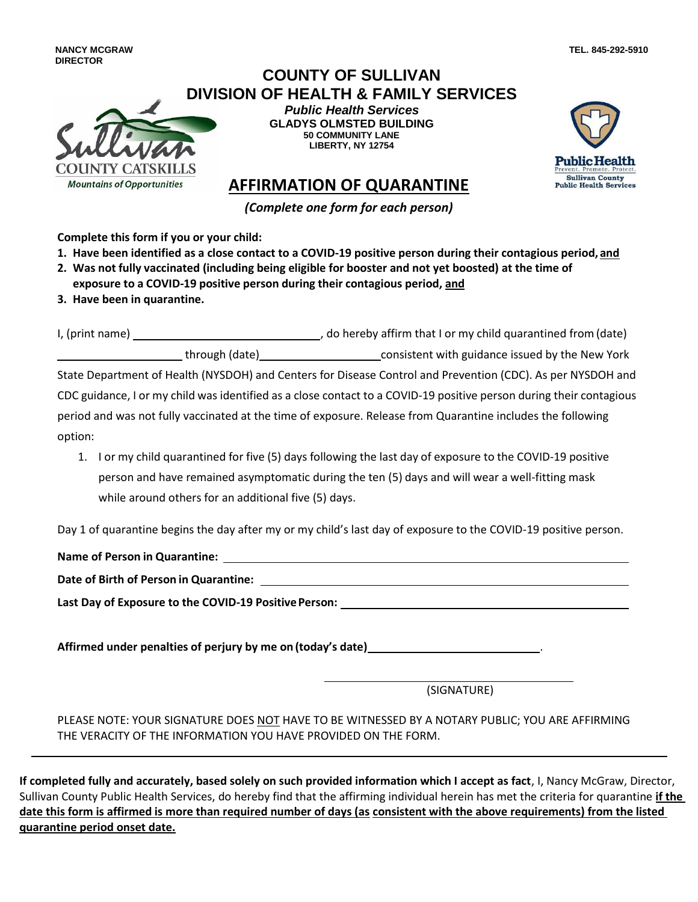**NANCY MCGRAW DIRECTOR**

## **COUNTY OF SULLIVAN DIVISION OF HEALTH & FAMILY SERVICES**

OUNTY CATSKILI

*Public Health Services* **GLADYS OLMSTED BUILDING 50 COMMUNITY LANE LIBERTY, NY 12754**



**TEL. 845-292-5910**

## **AFFIRMATION OF QUARANTINE**

*(Complete one form for each person)* 

**Complete this form if you or your child:** 

- **1. Have been identified as a close contact to a COVID-19 positive person during their contagious period, and**
- **2. Was not fully vaccinated (including being eligible for booster and not yet boosted) at the time of exposure to a COVID-19 positive person during their contagious period, and**
- **3. Have been in quarantine.**

**Mountains of Opportunities** 

I, (print name) **Solution**  $\sim$  do hereby affirm that I or my child quarantined from (date) through (date) consistent with guidance issued by the New York State Department of Health (NYSDOH) and Centers for Disease Control and Prevention (CDC). As per NYSDOH and CDC guidance, I or my child was identified as a close contact to a COVID-19 positive person during their contagious period and was not fully vaccinated at the time of exposure. Release from Quarantine includes the following option:

1. I or my child quarantined for five (5) days following the last day of exposure to the COVID-19 positive person and have remained asymptomatic during the ten (5) days and will wear a well-fitting mask while around others for an additional five (5) days.

Day 1 of quarantine begins the day after my or my child's last day of exposure to the COVID-19 positive person.

**Name of Person in Quarantine:** 

**Date of Birth of Person in Quarantine:** 

**Last Day of Exposure to the COVID-19 Positive Person:** 

**Affirmed under penalties of perjury by me on (today's date)** .

(SIGNATURE)

PLEASE NOTE: YOUR SIGNATURE DOES NOT HAVE TO BE WITNESSED BY A NOTARY PUBLIC; YOU ARE AFFIRMING THE VERACITY OF THE INFORMATION YOU HAVE PROVIDED ON THE FORM.

**If completed fully and accurately, based solely on such provided information which I accept as fact**, I, Nancy McGraw, Director, Sullivan County Public Health Services, do hereby find that the affirming individual herein has met the criteria for quarantine **if the date this form is affirmed is more than required number of days (as consistent with the above requirements) from the listed quarantine period onset date.**